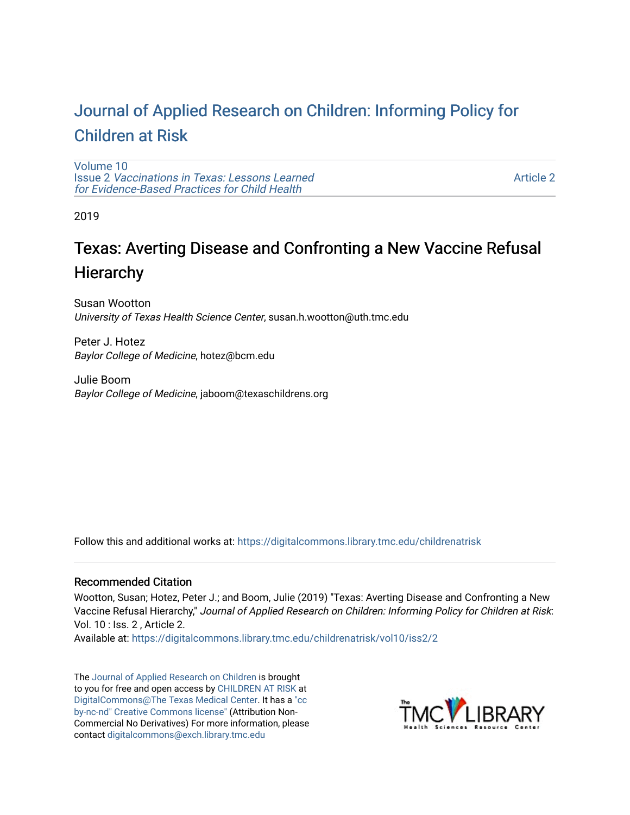## [Journal of Applied Research on Children: Informing Policy for](https://digitalcommons.library.tmc.edu/childrenatrisk) [Children at Risk](https://digitalcommons.library.tmc.edu/childrenatrisk)

[Volume 10](https://digitalcommons.library.tmc.edu/childrenatrisk/vol10) Issue 2 [Vaccinations in Texas: Lessons Learned](https://digitalcommons.library.tmc.edu/childrenatrisk/vol10/iss2)  [for Evidence-Based Practices for Child Health](https://digitalcommons.library.tmc.edu/childrenatrisk/vol10/iss2)

[Article 2](https://digitalcommons.library.tmc.edu/childrenatrisk/vol10/iss2/2) 

2019

## Texas: Averting Disease and Confronting a New Vaccine Refusal **Hierarchy**

Susan Wootton University of Texas Health Science Center, susan.h.wootton@uth.tmc.edu

Peter J. Hotez Baylor College of Medicine, hotez@bcm.edu

Julie Boom Baylor College of Medicine, jaboom@texaschildrens.org

Follow this and additional works at: [https://digitalcommons.library.tmc.edu/childrenatrisk](https://digitalcommons.library.tmc.edu/childrenatrisk?utm_source=digitalcommons.library.tmc.edu%2Fchildrenatrisk%2Fvol10%2Fiss2%2F2&utm_medium=PDF&utm_campaign=PDFCoverPages) 

## Recommended Citation

Wootton, Susan; Hotez, Peter J.; and Boom, Julie (2019) "Texas: Averting Disease and Confronting a New Vaccine Refusal Hierarchy," Journal of Applied Research on Children: Informing Policy for Children at Risk: Vol. 10 : Iss. 2 , Article 2.

Available at: [https://digitalcommons.library.tmc.edu/childrenatrisk/vol10/iss2/2](https://digitalcommons.library.tmc.edu/childrenatrisk/vol10/iss2/2?utm_source=digitalcommons.library.tmc.edu%2Fchildrenatrisk%2Fvol10%2Fiss2%2F2&utm_medium=PDF&utm_campaign=PDFCoverPages) 

The [Journal of Applied Research on Children](http://digitalcommons.library.tmc.edu/childrenatrisk) is brought to you for free and open access by [CHILDREN AT RISK](http://childrenatrisk.org/) at [DigitalCommons@The Texas Medical Center](http://digitalcommons.library.tmc.edu/). It has a ["cc](http://creativecommons.org/licenses/by-nc-nd/3.0/)  [by-nc-nd" Creative Commons license"](http://creativecommons.org/licenses/by-nc-nd/3.0/) (Attribution Non-Commercial No Derivatives) For more information, please contact [digitalcommons@exch.library.tmc.edu](mailto:digitalcommons@exch.library.tmc.edu) 

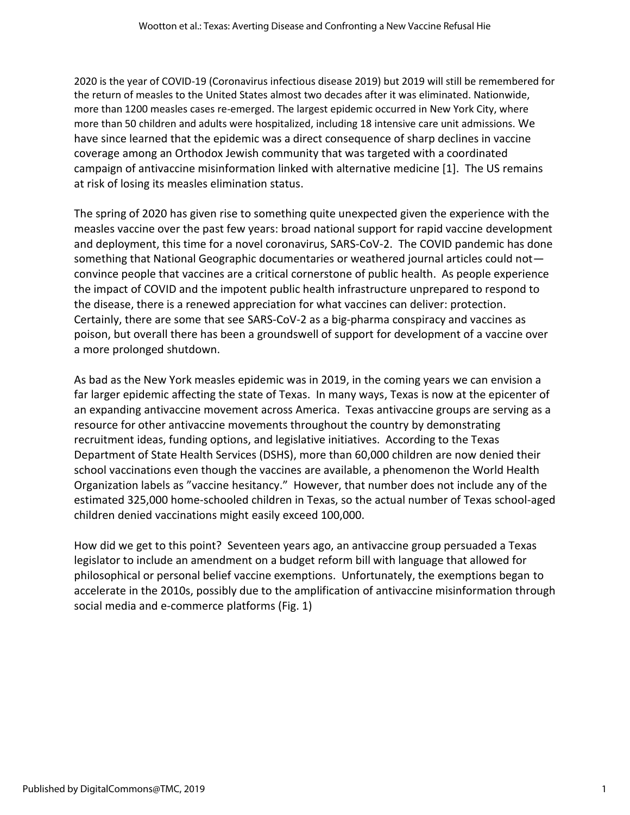2020 is the year of COVID-19 (Coronavirus infectious disease 2019) but 2019 will still be remembered for the return of measles to the United States almost two decades after it was eliminated. Nationwide, more than 1200 measles cases re-emerged. The largest epidemic occurred in New York City, where more than 50 children and adults were hospitalized, including 18 intensive care unit admissions. We have since learned that the epidemic was a direct consequence of sharp declines in vaccine coverage among an Orthodox Jewish community that was targeted with a coordinated campaign of antivaccine misinformation linked with alternative medicine [1]. The US remains at risk of losing its measles elimination status.

The spring of 2020 has given rise to something quite unexpected given the experience with the measles vaccine over the past few years: broad national support for rapid vaccine development and deployment, this time for a novel coronavirus, SARS-CoV-2. The COVID pandemic has done something that National Geographic documentaries or weathered journal articles could not convince people that vaccines are a critical cornerstone of public health. As people experience the impact of COVID and the impotent public health infrastructure unprepared to respond to the disease, there is a renewed appreciation for what vaccines can deliver: protection. Certainly, there are some that see SARS-CoV-2 as a big-pharma conspiracy and vaccines as poison, but overall there has been a groundswell of support for development of a vaccine over a more prolonged shutdown.

As bad as the New York measles epidemic was in 2019, in the coming years we can envision a far larger epidemic affecting the state of Texas. In many ways, Texas is now at the epicenter of an expanding antivaccine movement across America. Texas antivaccine groups are serving as a resource for other antivaccine movements throughout the country by demonstrating recruitment ideas, funding options, and legislative initiatives. According to the Texas Department of State Health Services (DSHS), more than 60,000 children are now denied their school vaccinations even though the vaccines are available, a phenomenon the World Health Organization labels as "vaccine hesitancy." However, that number does not include any of the estimated 325,000 home-schooled children in Texas, so the actual number of Texas school-aged children denied vaccinations might easily exceed 100,000.

How did we get to this point? Seventeen years ago, an antivaccine group persuaded a Texas legislator to include an amendment on a budget reform bill with language that allowed for philosophical or personal belief vaccine exemptions. Unfortunately, the exemptions began to accelerate in the 2010s, possibly due to the amplification of antivaccine misinformation through social media and e-commerce platforms (Fig. 1)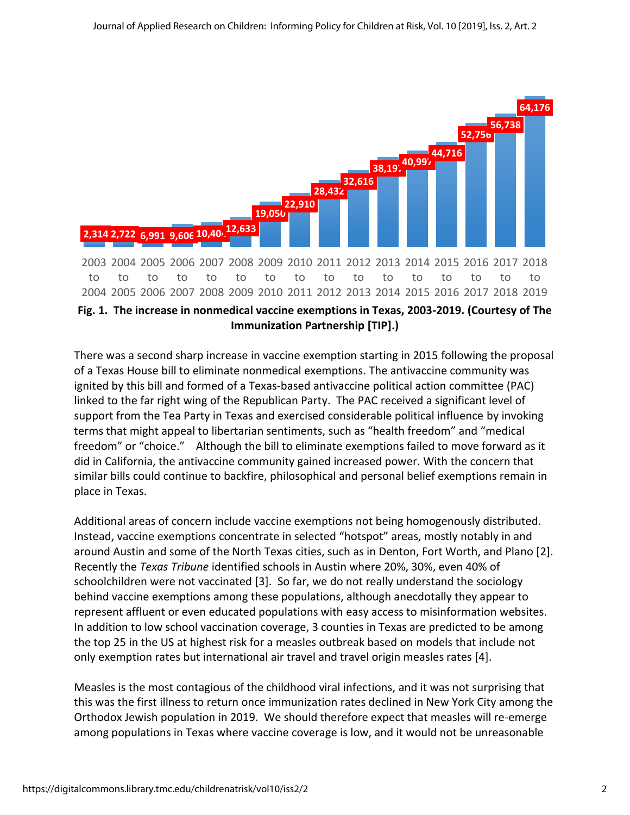

**Immunization Partnership [TIP].)**

There was a second sharp increase in vaccine exemption starting in 2015 following the proposal of a Texas House bill to eliminate nonmedical exemptions. The antivaccine community was ignited by this bill and formed of a Texas-based antivaccine political action committee (PAC) linked to the far right wing of the Republican Party. The PAC received a significant level of support from the Tea Party in Texas and exercised considerable political influence by invoking terms that might appeal to libertarian sentiments, such as "health freedom" and "medical freedom" or "choice." Although the bill to eliminate exemptions failed to move forward as it did in California, the antivaccine community gained increased power. With the concern that similar bills could continue to backfire, philosophical and personal belief exemptions remain in place in Texas.

Additional areas of concern include vaccine exemptions not being homogenously distributed. Instead, vaccine exemptions concentrate in selected "hotspot" areas, mostly notably in and around Austin and some of the North Texas cities, such as in Denton, Fort Worth, and Plano [2]. Recently the *Texas Tribune* identified schools in Austin where 20%, 30%, even 40% of schoolchildren were not vaccinated [3]. So far, we do not really understand the sociology behind vaccine exemptions among these populations, although anecdotally they appear to represent affluent or even educated populations with easy access to misinformation websites. In addition to low school vaccination coverage, 3 counties in Texas are predicted to be among the top 25 in the US at highest risk for a measles outbreak based on models that include not only exemption rates but international air travel and travel origin measles rates [4].

Measles is the most contagious of the childhood viral infections, and it was not surprising that this was the first illness to return once immunization rates declined in New York City among the Orthodox Jewish population in 2019. We should therefore expect that measles will re-emerge among populations in Texas where vaccine coverage is low, and it would not be unreasonable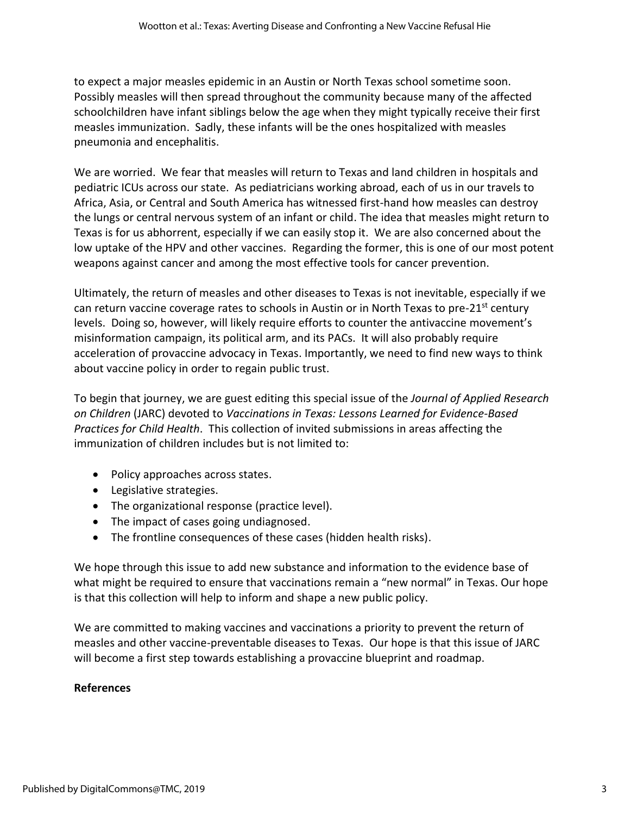to expect a major measles epidemic in an Austin or North Texas school sometime soon. Possibly measles will then spread throughout the community because many of the affected schoolchildren have infant siblings below the age when they might typically receive their first measles immunization. Sadly, these infants will be the ones hospitalized with measles pneumonia and encephalitis.

We are worried. We fear that measles will return to Texas and land children in hospitals and pediatric ICUs across our state. As pediatricians working abroad, each of us in our travels to Africa, Asia, or Central and South America has witnessed first-hand how measles can destroy the lungs or central nervous system of an infant or child. The idea that measles might return to Texas is for us abhorrent, especially if we can easily stop it. We are also concerned about the low uptake of the HPV and other vaccines. Regarding the former, this is one of our most potent weapons against cancer and among the most effective tools for cancer prevention.

Ultimately, the return of measles and other diseases to Texas is not inevitable, especially if we can return vaccine coverage rates to schools in Austin or in North Texas to pre-21<sup>st</sup> century levels. Doing so, however, will likely require efforts to counter the antivaccine movement's misinformation campaign, its political arm, and its PACs. It will also probably require acceleration of provaccine advocacy in Texas. Importantly, we need to find new ways to think about vaccine policy in order to regain public trust.

To begin that journey, we are guest editing this special issue of the *Journal of Applied Research on Children* (JARC) devoted to *Vaccinations in Texas: Lessons Learned for Evidence-Based Practices for Child Health*. This collection of invited submissions in areas affecting the immunization of children includes but is not limited to:

- Policy approaches across states.
- Legislative strategies.
- The organizational response (practice level).
- The impact of cases going undiagnosed.
- The frontline consequences of these cases (hidden health risks).

We hope through this issue to add new substance and information to the evidence base of what might be required to ensure that vaccinations remain a "new normal" in Texas. Our hope is that this collection will help to inform and shape a new public policy.

We are committed to making vaccines and vaccinations a priority to prevent the return of measles and other vaccine-preventable diseases to Texas. Our hope is that this issue of JARC will become a first step towards establishing a provaccine blueprint and roadmap.

## **References**